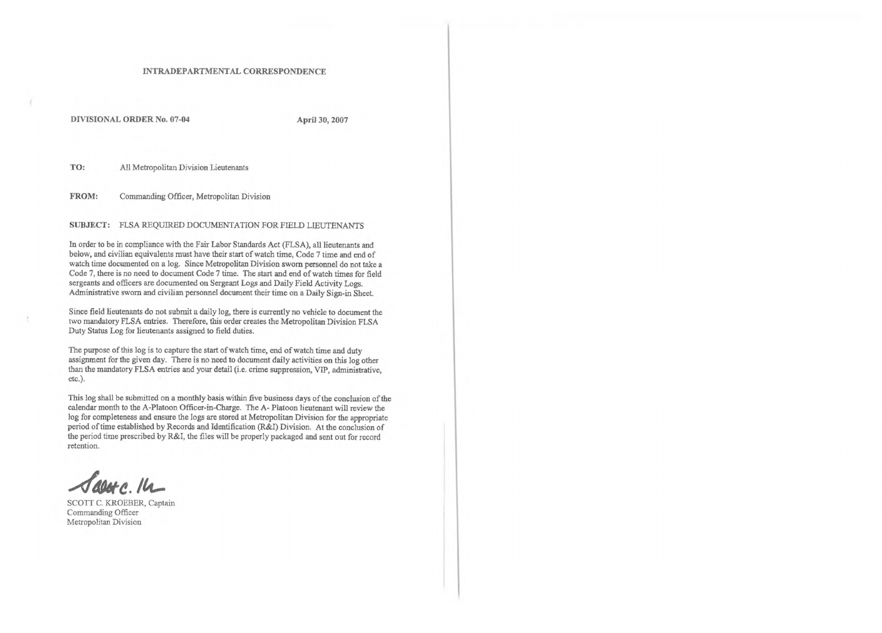## INTRADEPARTMENTAL CORRESPONDENCE

DIVISIONAL ORDER No. 07-04 **April 30, 2007**

TO: All Metropolitan Division Lieutenants

FROM: Commanding Officer, Metropolitan Division

## SUBJECT: FLSA REQUIRED DOCUMENTATION FOR FIELD LIEUTENANTS

In order to be in compliance with the Fair Labor Standards Act (FLSA), all lieutenants and below, and civilian equivalents must have their start of watch time, Code 7 time and end of watch time documented on a log. Since Metropolitan Division sworn personnel do not take a Code 7, there is no need to document Code 7 time. The start and end of watch times for field sergeants and officers are documented on Sergeant Logs and Daily Field Activity Logs. Administrative sworn and civilian personnel document their time on a Daily Sign-in Sheet.

The purpose of this log is to capture the start of watch time, end of watch time and duty assignment for the given day. There is no need to document daily activities on this log other than the mandatory FLSA entries and your detail (i.e. crime suppression, VIP, administrative, etc.).

Since field lieutenants do not submit a daily log, there is currently no vehicle to document the two mandatory FLSA entries. Therefore, this order creates the Metropolitan Division FLSA Duty Status Log for lieutenants assigned to field duties.

This log shall be submitted on a monthly basis within five business days of the conclusion of the calendar month to the A-Platoon Officer-in-Charge. The A- Platoon lieutenant will review the log for completeness and ensure the logs are stored at Metropolitan Division for the appropriate period of time established by Records and Identification (R&I) Division. At the conclusion of the period time prescribed by R&I, the files will be properly packaged and sent out for record retention.

SCOTT C. KROEBER, Captain Commanding Officer Metropolitan Division